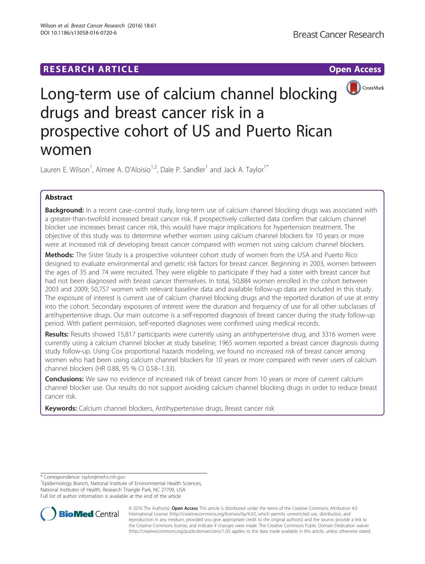# **RESEARCH ARTICLE Example 2018 12:00 Department of the Contract Open Access**



# Long-term use of calcium channel blocking drugs and breast cancer risk in a prospective cohort of US and Puerto Rican women

Lauren E. Wilson<sup>1</sup>, Aimee A. D'Aloisio<sup>1,2</sup>, Dale P. Sandler<sup>1</sup> and Jack A. Taylor<sup>1\*</sup>

# Abstract

Background: In a recent case–control study, long-term use of calcium channel blocking drugs was associated with a greater-than-twofold increased breast cancer risk. If prospectively collected data confirm that calcium channel blocker use increases breast cancer risk, this would have major implications for hypertension treatment. The objective of this study was to determine whether women using calcium channel blockers for 10 years or more were at increased risk of developing breast cancer compared with women not using calcium channel blockers.

Methods: The Sister Study is a prospective volunteer cohort study of women from the USA and Puerto Rico designed to evaluate environmental and genetic risk factors for breast cancer. Beginning in 2003, women between the ages of 35 and 74 were recruited. They were eligible to participate if they had a sister with breast cancer but had not been diagnosed with breast cancer themselves. In total, 50,884 women enrolled in the cohort between 2003 and 2009; 50,757 women with relevant baseline data and available follow-up data are included in this study. The exposure of interest is current use of calcium channel blocking drugs and the reported duration of use at entry into the cohort. Secondary exposures of interest were the duration and frequency of use for all other subclasses of antihypertensive drugs. Our main outcome is a self-reported diagnosis of breast cancer during the study follow-up period. With patient permission, self-reported diagnoses were confirmed using medical records.

Results: Results showed 15,817 participants were currently using an antihypertensive drug, and 3316 women were currently using a calcium channel blocker at study baseline; 1965 women reported a breast cancer diagnosis during study follow-up. Using Cox proportional hazards modeling, we found no increased risk of breast cancer among women who had been using calcium channel blockers for 10 years or more compared with never users of calcium channel blockers (HR 0.88, 95 % CI 0.58–1.33).

**Conclusions:** We saw no evidence of increased risk of breast cancer from 10 years or more of current calcium channel blocker use. Our results do not support avoiding calcium channel blocking drugs in order to reduce breast cancer risk.

Keywords: Calcium channel blockers, Antihypertensive drugs, Breast cancer risk

\* Correspondence: [taylor@niehs.nih.gov](mailto:taylor@niehs.nih.gov) <sup>1</sup>

<sup>1</sup> Epidemiology Branch, National Institute of Environmental Health Sciences, National Institutes of Health, Research Triangle Park, NC 27709, USA Full list of author information is available at the end of the article



© 2016 The Author(s). Open Access This article is distributed under the terms of the Creative Commons Attribution 4.0 International License [\(http://creativecommons.org/licenses/by/4.0/](http://creativecommons.org/licenses/by/4.0/)), which permits unrestricted use, distribution, and reproduction in any medium, provided you give appropriate credit to the original author(s) and the source, provide a link to the Creative Commons license, and indicate if changes were made. The Creative Commons Public Domain Dedication waiver [\(http://creativecommons.org/publicdomain/zero/1.0/](http://creativecommons.org/publicdomain/zero/1.0/)) applies to the data made available in this article, unless otherwise stated.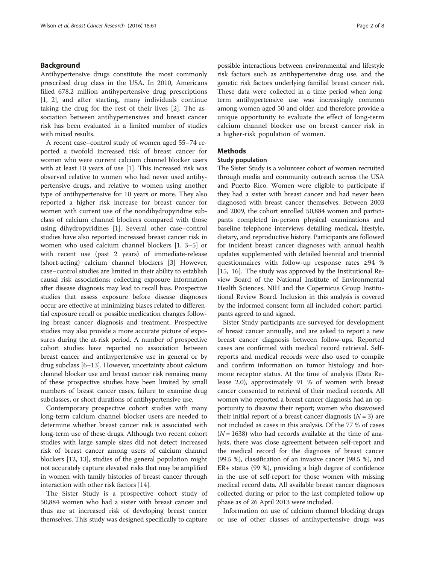# Background

Antihypertensive drugs constitute the most commonly prescribed drug class in the USA. In 2010, Americans filled 678.2 million antihypertensive drug prescriptions [[1, 2\]](#page-7-0), and after starting, many individuals continue taking the drug for the rest of their lives [[2\]](#page-7-0). The association between antihypertensives and breast cancer risk has been evaluated in a limited number of studies with mixed results.

A recent case–control study of women aged 55–74 reported a twofold increased risk of breast cancer for women who were current calcium channel blocker users with at least 10 years of use [[1\]](#page-7-0). This increased risk was observed relative to women who had never used antihypertensive drugs, and relative to women using another type of antihypertensive for 10 years or more. They also reported a higher risk increase for breast cancer for women with current use of the nondihydropyridine subclass of calcium channel blockers compared with those using dihydropyridines [\[1\]](#page-7-0). Several other case–control studies have also reported increased breast cancer risk in women who used calcium channel blockers [[1, 3](#page-7-0)–[5\]](#page-7-0) or with recent use (past 2 years) of immediate-release (short-acting) calcium channel blockers [\[3\]](#page-7-0) However, case–control studies are limited in their ability to establish causal risk associations; collecting exposure information after disease diagnosis may lead to recall bias. Prospective studies that assess exposure before disease diagnoses occur are effective at minimizing biases related to differential exposure recall or possible medication changes following breast cancer diagnosis and treatment. Prospective studies may also provide a more accurate picture of exposures during the at-risk period. A number of prospective cohort studies have reported no association between breast cancer and antihypertensive use in general or by drug subclass [[6](#page-7-0)–[13](#page-7-0)]. However, uncertainty about calcium channel blocker use and breast cancer risk remains; many of these prospective studies have been limited by small numbers of breast cancer cases, failure to examine drug subclasses, or short durations of antihypertensive use.

Contemporary prospective cohort studies with many long-term calcium channel blocker users are needed to determine whether breast cancer risk is associated with long-term use of these drugs. Although two recent cohort studies with large sample sizes did not detect increased risk of breast cancer among users of calcium channel blockers [\[12](#page-7-0), [13](#page-7-0)], studies of the general population might not accurately capture elevated risks that may be amplified in women with family histories of breast cancer through interaction with other risk factors [\[14](#page-7-0)].

The Sister Study is a prospective cohort study of 50,884 women who had a sister with breast cancer and thus are at increased risk of developing breast cancer themselves. This study was designed specifically to capture

possible interactions between environmental and lifestyle risk factors such as antihypertensive drug use, and the genetic risk factors underlying familial breast cancer risk. These data were collected in a time period when longterm antihypertensive use was increasingly common among women aged 50 and older, and therefore provide a unique opportunity to evaluate the effect of long-term calcium channel blocker use on breast cancer risk in a higher-risk population of women.

# **Methods**

## Study population

The Sister Study is a volunteer cohort of women recruited through media and community outreach across the USA and Puerto Rico. Women were eligible to participate if they had a sister with breast cancer and had never been diagnosed with breast cancer themselves. Between 2003 and 2009, the cohort enrolled 50,884 women and participants completed in-person physical examinations and baseline telephone interviews detailing medical, lifestyle, dietary, and reproductive history. Participants are followed for incident breast cancer diagnoses with annual health updates supplemented with detailed biennial and triennial questionnaires with follow-up response rates ≥94 % [[15, 16](#page-7-0)]. The study was approved by the Institutional Review Board of the National Institute of Environmental Health Sciences, NIH and the Copernicus Group Institutional Review Board. Inclusion in this analysis is covered by the informed consent form all included cohort participants agreed to and signed.

Sister Study participants are surveyed for development of breast cancer annually, and are asked to report a new breast cancer diagnosis between follow-ups. Reported cases are confirmed with medical record retrieval. Selfreports and medical records were also used to compile and confirm information on tumor histology and hormone receptor status. At the time of analysis (Data Release 2.0), approximately 91 % of women with breast cancer consented to retrieval of their medical records. All women who reported a breast cancer diagnosis had an opportunity to disavow their report; women who disavowed their initial report of a breast cancer diagnosis  $(N = 3)$  are not included as cases in this analysis. Of the 77 % of cases  $(N = 1638)$  who had records available at the time of analysis, there was close agreement between self-report and the medical record for the diagnosis of breast cancer (99.5 %), classification of an invasive cancer (98.5 %), and ER+ status (99 %), providing a high degree of confidence in the use of self-report for those women with missing medical record data. All available breast cancer diagnoses collected during or prior to the last completed follow-up phase as of 26 April 2013 were included.

Information on use of calcium channel blocking drugs or use of other classes of antihypertensive drugs was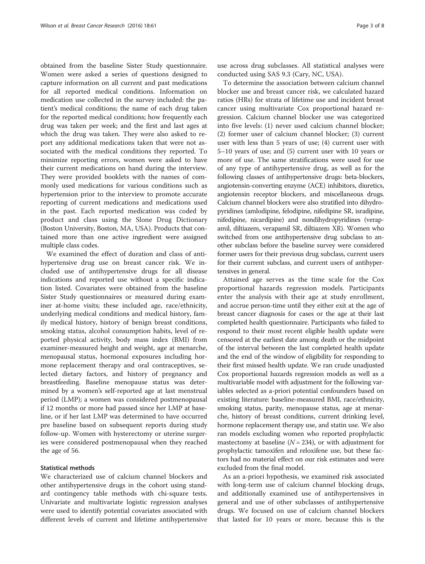obtained from the baseline Sister Study questionnaire. Women were asked a series of questions designed to capture information on all current and past medications for all reported medical conditions. Information on medication use collected in the survey included: the patient's medical conditions; the name of each drug taken for the reported medical conditions; how frequently each drug was taken per week; and the first and last ages at which the drug was taken. They were also asked to report any additional medications taken that were not associated with the medical conditions they reported. To minimize reporting errors, women were asked to have their current medications on hand during the interview. They were provided booklets with the names of commonly used medications for various conditions such as hypertension prior to the interview to promote accurate reporting of current medications and medications used in the past. Each reported medication was coded by product and class using the Slone Drug Dictionary (Boston University, Boston, MA, USA). Products that contained more than one active ingredient were assigned multiple class codes.

We examined the effect of duration and class of antihypertensive drug use on breast cancer risk. We included use of antihypertensive drugs for all disease indications and reported use without a specific indication listed. Covariates were obtained from the baseline Sister Study questionnaires or measured during examiner at-home visits; these included age, race/ethnicity, underlying medical conditions and medical history, family medical history, history of benign breast conditions, smoking status, alcohol consumption habits, level of reported physical activity, body mass index (BMI) from examiner-measured height and weight, age at menarche, menopausal status, hormonal exposures including hormone replacement therapy and oral contraceptives, selected dietary factors, and history of pregnancy and breastfeeding. Baseline menopause status was determined by a women's self-reported age at last menstrual period (LMP); a women was considered postmenopausal if 12 months or more had passed since her LMP at baseline, or if her last LMP was determined to have occurred pre baseline based on subsequent reports during study follow-up. Women with hysterectomy or uterine surgeries were considered postmenopausal when they reached the age of 56.

# Statistical methods

We characterized use of calcium channel blockers and other antihypertensive drugs in the cohort using standard contingency table methods with chi-square tests. Univariate and multivariate logistic regression analyses were used to identify potential covariates associated with different levels of current and lifetime antihypertensive

use across drug subclasses. All statistical analyses were conducted using SAS 9.3 (Cary, NC, USA).

To determine the association between calcium channel blocker use and breast cancer risk, we calculated hazard ratios (HRs) for strata of lifetime use and incident breast cancer using multivariate Cox proportional hazard regression. Calcium channel blocker use was categorized into five levels: (1) never used calcium channel blocker; (2) former user of calcium channel blocker; (3) current user with less than 5 years of use; (4) current user with 5–10 years of use; and (5) current user with 10 years or more of use. The same stratifications were used for use of any type of antihypertensive drug, as well as for the following classes of antihypertensive drugs: beta-blockers, angiotensin-converting enzyme (ACE) inhibitors, diuretics, angiotensin receptor blockers, and miscellaneous drugs. Calcium channel blockers were also stratified into dihydropyridines (amlodipine, felodipine, nifedipine SR, isradipine, nifedipine, nicardipine) and nondihydropyridines (verapamil, diltiazem, verapamil SR, diltiazem XR). Women who switched from one antihypertensive drug subclass to another subclass before the baseline survey were considered former users for their previous drug subclass, current users for their current subclass, and current users of antihypertensives in general.

Attained age serves as the time scale for the Cox proportional hazards regression models. Participants enter the analysis with their age at study enrollment, and accrue person-time until they either exit at the age of breast cancer diagnosis for cases or the age at their last completed health questionnaire. Participants who failed to respond to their most recent eligible health update were censored at the earliest date among death or the midpoint of the interval between the last completed health update and the end of the window of eligibility for responding to their first missed health update. We ran crude unadjusted Cox proportional hazards regression models as well as a multivariable model with adjustment for the following variables selected as a-priori potential confounders based on existing literature: baseline-measured BMI, race/ethnicity, smoking status, parity, menopause status, age at menarche, history of breast conditions, current drinking level, hormone replacement therapy use, and statin use. We also ran models excluding women who reported prophylactic mastectomy at baseline ( $N = 234$ ), or with adjustment for prophylactic tamoxifen and reloxifene use, but these factors had no material effect on our risk estimates and were excluded from the final model.

As an a-priori hypothesis, we examined risk associated with long-term use of calcium channel blocking drugs, and additionally examined use of antihypertensives in general and use of other subclasses of antihypertensive drugs. We focused on use of calcium channel blockers that lasted for 10 years or more, because this is the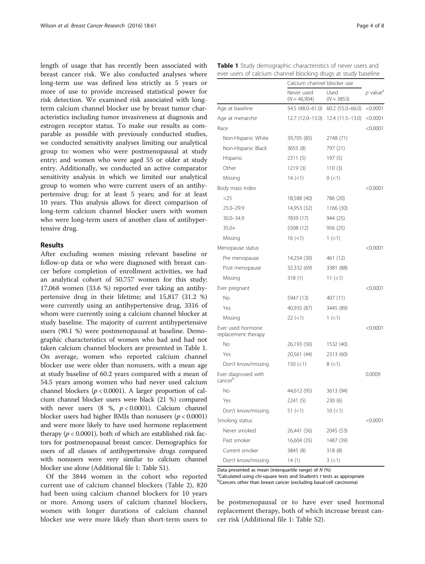length of usage that has recently been associated with breast cancer risk. We also conducted analyses where long-term use was defined less strictly as 5 years or more of use to provide increased statistical power for risk detection. We examined risk associated with longterm calcium channel blocker use by breast tumor characteristics including tumor invasiveness at diagnosis and estrogen receptor status. To make our results as comparable as possible with previously conducted studies, we conducted sensitivity analyses limiting our analytical group to: women who were postmenopausal at study entry; and women who were aged 55 or older at study entry. Additionally, we conducted an active comparator sensitivity analysis in which we limited our analytical group to women who were current users of an antihypertensive drug: for at least 5 years; and for at least 10 years. This analysis allows for direct comparison of long-term calcium channel blocker users with women who were long-term users of another class of antihypertensive drug.

# Results

After excluding women missing relevant baseline or follow-up data or who were diagnosed with breast cancer before completion of enrollment activities, we had an analytical cohort of 50,757 women for this study: 17,068 women (33.6 %) reported ever taking an antihypertensive drug in their lifetime; and 15,817 (31.2 %) were currently using an antihypertensive drug, 3316 of whom were currently using a calcium channel blocker at study baseline. The majority of current antihypertensive users (90.1 %) were postmenopausal at baseline. Demographic characteristics of women who had and had not taken calcium channel blockers are presented in Table 1. On average, women who reported calcium channel blocker use were older than nonusers, with a mean age at study baseline of 60.2 years compared with a mean of 54.5 years among women who had never used calcium channel blockers ( $p < 0.0001$ ). A larger proportion of calcium channel blocker users were black (21 %) compared with never users  $(8 \% , p < 0.0001)$ . Calcium channel blocker users had higher BMIs than nonusers ( $p < 0.0001$ ) and were more likely to have used hormone replacement therapy ( $p < 0.0001$ ), both of which are established risk factors for postmenopausal breast cancer. Demographics for users of all classes of antihypertensive drugs compared with nonusers were very similar to calcium channel blocker use alone (Additional file [1](#page-6-0): Table S1).

Of the 3844 women in the cohort who reported current use of calcium channel blockers (Table [2](#page-4-0)), 820 had been using calcium channel blockers for 10 years or more. Among users of calcium channel blockers, women with longer durations of calcium channel blocker use were more likely than short-term users to

|                                            | Calcium channel blocker use  |                                   |                        |
|--------------------------------------------|------------------------------|-----------------------------------|------------------------|
|                                            | Never used<br>$(N = 46,904)$ | Used<br>$(N = 3853)$              | $p$ value <sup>a</sup> |
| Age at baseline                            |                              | 54.5 (48.0-61.0) 60.2 (55.0-66.0) | < 0.0001               |
| Age at menarche                            |                              | 12.7 (12.0–13.0) 12.4 (11.5–13.0) | < 0.0001               |
| Race                                       |                              |                                   | $<$ 0.0001             |
| Non-Hispanic White                         | 39,705 (85)                  | 2748 (71)                         |                        |
| Non-Hispanic Black                         | 3655 (8)                     | 797 (21)                          |                        |
| Hispanic                                   | 2311 (5)                     | 197(5)                            |                        |
| Other                                      | 1219(3)                      | 110(3)                            |                        |
| Missing                                    | 14 (< 1)                     | $0$ (<1)                          |                        |
| Body mass index                            |                              |                                   | $<$ 0.0001             |
| $<$ 25                                     | 18,588 (40)                  | 786 (20)                          |                        |
| 25.0-29.9                                  | 14,953 (32)                  | 1166 (30)                         |                        |
| $30.0 - 34.9$                              | 7839 (17)                    | 944 (25)                          |                        |
| $35.0+$                                    | 5508 (12)                    | 956 (25)                          |                        |
| Missing                                    | $16 \; (<1)$                 | 1 (< 1)                           |                        |
| Menopause status                           |                              |                                   | $<$ 0.0001             |
| Pre menopause                              | 14,254 (30)                  | 461 (12)                          |                        |
| Post menopause                             | 32,332 (69)                  | 3381 (88)                         |                        |
| Missing                                    | 318(1)                       | 11 (< 1)                          |                        |
| Ever pregnant                              |                              |                                   | < 0.0001               |
| No                                         | 5947 (13)                    | 407 (11)                          |                        |
| Yes                                        | 40,935 (87)                  | 3445 (89)                         |                        |
| Missing                                    | $22 \le 1$                   | 1(<1)                             |                        |
| Ever used hormone<br>replacement therapy   |                              |                                   | $<$ 0.0001             |
| Νo                                         | 26,193 (56)                  | 1532 (40)                         |                        |
| Yes                                        | 20,561 (44)                  | 2313 (60)                         |                        |
| Don't know/missing                         | $150 (=1)$                   | 8(<1)                             |                        |
| Ever diagnosed with<br>cancer <sup>b</sup> |                              |                                   | 0.0009                 |
| No                                         | 44,612 (95)                  | 3613 (94)                         |                        |
| Yes                                        | 2241 (5)                     | 230 (6)                           |                        |
| Don't know/missing                         | 51 $(< 1)$                   | $10 (=1)$                         |                        |
| Smoking status                             |                              |                                   | < 0.0001               |
| Never smoked                               | 26,441 (56)                  | 2045 (53)                         |                        |
| Past smoker                                | 16,604 (35)                  | 1487 (39)                         |                        |
| Current smoker                             | 3845 (8)                     | 318(8)                            |                        |
| Don't know/missing                         | 14(1)                        | $3 (-1)$                          |                        |

Table 1 Study demographic characteristics of never users and ever users of calcium channel blocking drugs at study baseline

Data presented as mean (interquartile range) of  $N$  (%)

 $^a$ Calculated using chi-square tests and Student's t tests as appropriate **<sup>b</sup>Cancers other than breast cancer (excluding basal-cell carcinoma)** 

be postmenopausal or to have ever used hormonal replacement therapy, both of which increase breast cancer risk (Additional file [1:](#page-6-0) Table S2).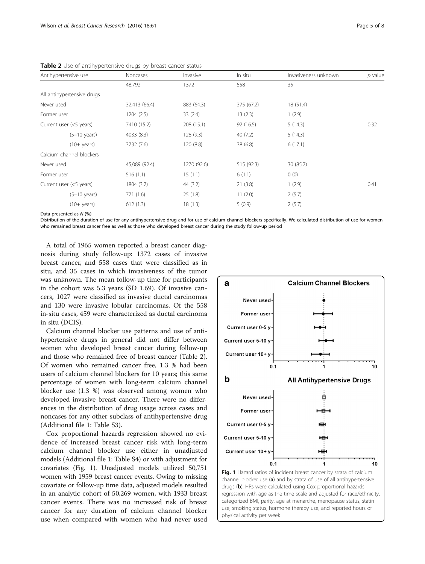| Antihypertensive use       | Noncases      | Invasive    | In situ    | Invasiveness unknown | $p$ value |
|----------------------------|---------------|-------------|------------|----------------------|-----------|
|                            | 48,792        | 1372        | 558        | 35                   |           |
| All antihypertensive drugs |               |             |            |                      |           |
| Never used                 | 32,413 (66.4) | 883 (64.3)  | 375 (67.2) | 18(51.4)             |           |
| Former user                | 1204 (2.5)    | 33(2.4)     | 13(2.3)    | 1(2.9)               |           |
| Current user (<5 years)    | 7410 (15.2)   | 208 (15.1)  | 92(16.5)   | 5(14.3)              | 0.32      |
| $(5-10 \text{ years})$     | 4033(8.3)     | 128 (9.3)   | 40(7.2)    | 5(14.3)              |           |
| $(10 + \mathrm{years})$    | 3732 (7.6)    | 120 (8.8)   | 38(6.8)    | 6(17.1)              |           |
| Calcium channel blockers   |               |             |            |                      |           |
| Never used                 | 45,089 (92.4) | 1270 (92.6) | 515 (92.3) | 30 (85.7)            |           |
| Former user                | 516(1.1)      | 15(1.1)     | 6(1.1)     | 0(0)                 |           |
| Current user (<5 years)    | 1804 (3.7)    | 44 (3.2)    | 21(3.8)    | 1(2.9)               | 0.41      |
| $(5-10 \text{ years})$     | 771 (1.6)     | 25(1.8)     | 11(2.0)    | 2(5.7)               |           |
| $(10 + \text{years})$      | 612(1.3)      | 18(1.3)     | 5(0.9)     | 2(5.7)               |           |

<span id="page-4-0"></span>Table 2 Use of antihypertensive drugs by breast cancer status

Data presented as N (%)

Distribution of the duration of use for any antihypertensive drug and for use of calcium channel blockers specifically. We calculated distribution of use for women who remained breast cancer free as well as those who developed breast cancer during the study follow-up period

A total of 1965 women reported a breast cancer diagnosis during study follow-up: 1372 cases of invasive breast cancer, and 558 cases that were classified as in situ, and 35 cases in which invasiveness of the tumor was unknown. The mean follow-up time for participants in the cohort was 5.3 years (SD 1.69). Of invasive cancers, 1027 were classified as invasive ductal carcinomas and 130 were invasive lobular carcinomas. Of the 558 in-situ cases, 459 were characterized as ductal carcinoma in situ (DCIS).

Calcium channel blocker use patterns and use of antihypertensive drugs in general did not differ between women who developed breast cancer during follow-up and those who remained free of breast cancer (Table 2). Of women who remained cancer free, 1.3 % had been users of calcium channel blockers for 10 years; this same percentage of women with long-term calcium channel blocker use (1.3 %) was observed among women who developed invasive breast cancer. There were no differences in the distribution of drug usage across cases and noncases for any other subclass of antihypertensive drug (Additional file [1](#page-6-0): Table S3).

Cox proportional hazards regression showed no evidence of increased breast cancer risk with long-term calcium channel blocker use either in unadjusted models (Additional file [1:](#page-6-0) Table S4) or with adjustment for covariates (Fig. 1). Unadjusted models utilized 50,751 women with 1959 breast cancer events. Owing to missing covariate or follow-up time data, adjusted models resulted in an analytic cohort of 50,269 women, with 1933 breast cancer events. There was no increased risk of breast cancer for any duration of calcium channel blocker use when compared with women who had never used

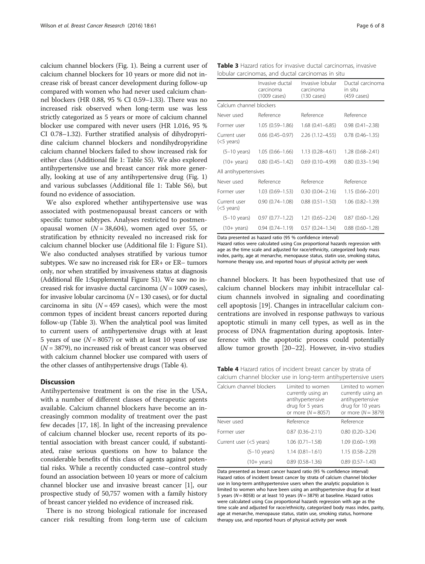calcium channel blockers (Fig. [1\)](#page-4-0). Being a current user of calcium channel blockers for 10 years or more did not increase risk of breast cancer development during follow-up compared with women who had never used calcium channel blockers (HR 0.88, 95 % CI 0.59–1.33). There was no increased risk observed when long-term use was less strictly categorized as 5 years or more of calcium channel blocker use compared with never users (HR 1.016, 95 % CI 0.78–1.32). Further stratified analysis of dihydropyridine calcium channel blockers and nondihydropyridine calcium channel blockers failed to show increased risk for either class (Additional file [1:](#page-6-0) Table S5). We also explored antihypertensive use and breast cancer risk more generally, looking at use of any antihypertensive drug (Fig. [1](#page-4-0)) and various subclasses (Additional file [1](#page-6-0): Table S6), but found no evidence of association.

We also explored whether antihypertensive use was associated with postmenopausal breast cancers or with specific tumor subtypes. Analyses restricted to postmenopausal women ( $N = 38,604$ ), women aged over 55, or stratification by ethnicity revealed no increased risk for calcium channel blocker use (Additional file [1](#page-6-0): Figure S1). We also conducted analyses stratified by various tumor subtypes. We saw no increased risk for ER+ or ER– tumors only, nor when stratified by invasiveness status at diagnosis (Additional file [1](#page-6-0):Supplemental Figure S1). We saw no increased risk for invasive ductal carcinoma ( $N = 1009$  cases), for invasive lobular carcinoma  $(N = 130$  cases), or for ductal carcinoma in situ ( $N = 459$  cases), which were the most common types of incident breast cancers reported during follow-up (Table 3). When the analytical pool was limited to current users of antihypertensive drugs with at least 5 years of use  $(N = 8057)$  or with at least 10 years of use  $(N = 3879)$ , no increased risk of breast cancer was observed with calcium channel blocker use compared with users of the other classes of antihypertensive drugs (Table 4).

# **Discussion**

Antihypertensive treatment is on the rise in the USA, with a number of different classes of therapeutic agents available. Calcium channel blockers have become an increasingly common modality of treatment over the past few decades [\[17](#page-7-0), [18\]](#page-7-0). In light of the increasing prevalence of calcium channel blocker use, recent reports of its potential association with breast cancer could, if substantiated, raise serious questions on how to balance the considerable benefits of this class of agents against potential risks. While a recently conducted case–control study found an association between 10 years or more of calcium channel blocker use and invasive breast cancer [\[1\]](#page-7-0), our prospective study of 50,757 women with a family history of breast cancer yielded no evidence of increased risk.

There is no strong biological rationale for increased cancer risk resulting from long-term use of calcium Table 3 Hazard ratios for invasive ductal carcinomas, invasive lobular carcinomas, and ductal carcinomas in situ

|                              | Invasive ductal<br>carcinoma<br>(1009 cases) | Invasive lobular<br>carcinoma<br>$(130 \text{ cases})$ | Ductal carcinoma<br>in situ<br>$(459 \text{ cases})$ |
|------------------------------|----------------------------------------------|--------------------------------------------------------|------------------------------------------------------|
| Calcium channel blockers     |                                              |                                                        |                                                      |
| Never used                   | Reference                                    | Reference                                              | Reference                                            |
| Former user                  | 1.05 (0.59-1.86)                             | $1.68(0.41 - 6.85)$                                    | $0.98(0.41 - 2.38)$                                  |
| Current user<br>$(<5$ years) | $0.66$ $(0.45 - 0.97)$                       | 2.26 (1.12-4.55)                                       | $0.78$ $(0.46 - 1.35)$                               |
| $(5-10 \text{ years})$       | $1.05(0.66 - 1.66)$                          | $1.13(0.28 - 4.61)$                                    | $1.28(0.68 - 2.41)$                                  |
| $(10 + \text{years})$        | $0.80(0.45 - 1.42)$                          | $0.69(0.10 - 4.99)$                                    | $0.80(0.33 - 1.94)$                                  |
| All antihypertensives        |                                              |                                                        |                                                      |
| Never used                   | Reference                                    | Reference                                              | Reference                                            |
| Former user                  | $1.03(0.69 - 1.53)$                          | $0.30(0.04 - 2.16)$                                    | $1.15(0.66 - 2.01)$                                  |
| Current user<br>$(<5$ years) | $0.90(0.74 - 1.08)$                          | $0.88(0.51 - 1.50)$                                    | $1.06(0.82 - 1.39)$                                  |
| $(5-10 \text{ years})$       | $0.97(0.77 - 1.22)$                          | $1.21(0.65 - 2.24)$                                    | $0.87(0.60 - 1.26)$                                  |
| $(10 + \text{years})$        | $0.94(0.74 - 1.19)$                          | $0.57(0.24 - 1.34)$                                    | $0.88$ $(0.60 - 1.28)$                               |

Data presented as hazard ratio (95 % confidence interval)

Hazard ratios were calculated using Cox proportional hazards regression with age as the time scale and adjusted for race/ethnicity, categorized body mass index, parity, age at menarche, menopause status, statin use, smoking status, hormone therapy use, and reported hours of physical activity per week

channel blockers. It has been hypothesized that use of calcium channel blockers may inhibit intracellular calcium channels involved in signaling and coordinating cell apoptosis [\[19](#page-7-0)]. Changes in intracellular calcium concentrations are involved in response pathways to various apoptotic stimuli in many cell types, as well as in the process of DNA fragmentation during apoptosis. Interference with the apoptotic process could potentially allow tumor growth [\[20](#page-7-0)–[22\]](#page-7-0). However, in-vivo studies

Table 4 Hazard ratios of incident breast cancer by strata of calcium channel blocker use in long-term antihypertensive users

| Calcium channel blockers | I imited to women<br>currently using an<br>antihypertensive<br>drug for 5 years<br>or more $(N = 8057)$ | Limited to women<br>currently using an<br>antihypertensive<br>drug for 10 years<br>or more $(N = 3879)$ |  |  |  |
|--------------------------|---------------------------------------------------------------------------------------------------------|---------------------------------------------------------------------------------------------------------|--|--|--|
| Never used               | Reference                                                                                               | Reference                                                                                               |  |  |  |
| Former user              | $0.87(0.36 - 2.11)$                                                                                     | $0.80(0.20 - 3.24)$                                                                                     |  |  |  |
| Current user (<5 years)  | $1.06(0.71 - 1.58)$                                                                                     | 1.09 (0.60-1.99)                                                                                        |  |  |  |
| $(5-10 \text{ years})$   | $1.14(0.81 - 1.61)$                                                                                     | $1.15(0.58 - 2.29)$                                                                                     |  |  |  |
| $(10 + \text{years})$    | $0.89(0.58 - 1.36)$                                                                                     | $0.89(0.57 - 1.40)$                                                                                     |  |  |  |

Data presented as breast cancer hazard ratio (95 % confidence interval) Hazard ratios of incident breast cancer by strata of calcium channel blocker use in long-term antihypertensive users when the analytic population is limited to women who have been using an antihypertensive drug for at least 5 years ( $N = 8058$ ) or at least 10 years ( $N = 3879$ ) at baseline. Hazard ratios were calculated using Cox proportional hazards regression with age as the time scale and adjusted for race/ethnicity, categorized body mass index, parity, age at menarche, menopause status, statin use, smoking status, hormone therapy use, and reported hours of physical activity per week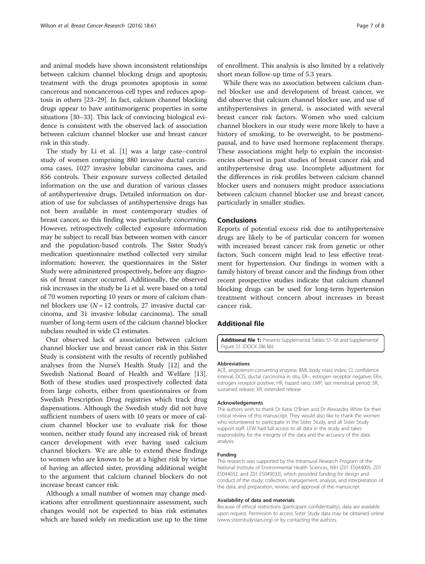<span id="page-6-0"></span>and animal models have shown inconsistent relationships between calcium channel blocking drugs and apoptosis; treatment with the drugs promotes apoptosis in some cancerous and noncancerous cell types and reduces apoptosis in others [\[23](#page-7-0)–[29](#page-7-0)]. In fact, calcium channel blocking drugs appear to have antitumorigenic properties in some situations [[30](#page-7-0)–[33\]](#page-7-0). This lack of convincing biological evidence is consistent with the observed lack of association between calcium channel blocker use and breast cancer risk in this study.

The study by Li et al. [\[1](#page-7-0)] was a large case–control study of women comprising 880 invasive ductal carcinoma cases, 1027 invasive lobular carcinoma cases, and 856 controls. Their exposure surveys collected detailed information on the use and duration of various classes of antihypertensive drugs. Detailed information on duration of use for subclasses of antihypertensive drugs has not been available in most contemporary studies of breast cancer, so this finding was particularly concerning. However, retrospectively collected exposure information may be subject to recall bias between women with cancer and the population-based controls. The Sister Study's medication questionnaire method collected very similar information; however, the questionnaires in the Sister Study were administered prospectively, before any diagnosis of breast cancer occurred. Additionally, the observed risk increases in the study be Li et al. were based on a total of 70 women reporting 10 years or more of calcium channel blockers use  $(N = 12 \text{ controls}, 27 \text{ invasive ductal car-}$ cinoma, and 31 invasive lobular carcinoma). The small number of long-term users of the calcium channel blocker subclass resulted in wide CI estimates.

Our observed lack of association between calcium channel blocker use and breast cancer risk in this Sister Study is consistent with the results of recently published analyses from the Nurse's Health Study [[12\]](#page-7-0) and the Swedish National Board of Health and Welfare [\[13](#page-7-0)]. Both of these studies used prospectively collected data from large cohorts, either from questionnaires or from Swedish Prescription Drug registries which track drug dispensations. Although the Swedish study did not have sufficient numbers of users with 10 years or more of calcium channel blocker use to evaluate risk for those women, neither study found any increased risk of breast cancer development with ever having used calcium channel blockers. We are able to extend these findings to women who are known to be at a higher risk by virtue of having an affected sister, providing additional weight to the argument that calcium channel blockers do not increase breast cancer risk.

Although a small number of women may change medications after enrollment questionnaire assessment, such changes would not be expected to bias risk estimates which are based solely on medication use up to the time

of enrollment. This analysis is also limited by a relatively short mean follow-up time of 5.3 years.

While there was no association between calcium channel blocker use and development of breast cancer, we did observe that calcium channel blocker use, and use of antihypertensives in general, is associated with several breast cancer risk factors. Women who used calcium channel blockers in our study were more likely to have a history of smoking, to be overweight, to be postmenopausal, and to have used hormone replacement therapy. These associations might help to explain the inconsistencies observed in past studies of breast cancer risk and antihypertensive drug use. Incomplete adjustment for the differences in risk profiles between calcium channel blocker users and nonusers might produce associations between calcium channel blocker use and breast cancer, particularly in smaller studies.

# Conclusions

Reports of potential excess risk due to antihypertensive drugs are likely to be of particular concern for women with increased breast cancer risk from genetic or other factors. Such concern might lead to less effective treatment for hypertension. Our findings in women with a family history of breast cancer and the findings from other recent prospective studies indicate that calcium channel blocking drugs can be used for long-term hypertension treatment without concern about increases in breast cancer risk.

# Additional file

[Additional file 1:](dx.doi.org/10.1186/s13058-016-0720-6) Presents Supplemental Tables S1-S6 and Supplemental Figure S1. (DOCX 286 kb)

#### Abbreviations

ACE, angiotensin-converting enzyme; BMI, body mass index; CI, confidence interval; DCIS, ductal carcinoma in situ; ER–, estrogen receptor negative; ER+, estrogen receptor positive; HR, hazard ratio; LMP, last menstrual period; SR, sustained release; XR, extended release

#### Acknowledgements

The authors wish to thank Dr Katie O'Brien and Dr Alexandra White for their critical review of this manuscript. They would also like to thank the women who volunteered to participate in the Sister Study, and all Sister Study support staff. LEW had full access to all data in the study and takes responsibility for the integrity of the data and the accuracy of the data analysis.

#### Funding

This research was supported by the Intramural Research Program of the National Institute of Environmental Health Sciences, NIH (Z01 ES044005, Z01 ES044032, and Z01 ES049033), which provided funding for design and conduct of the study; collection, management, analysis, and interpretation of the data; and preparation, review, and approval of the manuscript.

## Availability of data and materials

Because of ethical restrictions (participant confidentiality), data are available upon request. Permission to access Sister Study data may be obtained online ([www.sisterstudystars.org](http://www.sisterstudystars.org/)) or by contacting the authors.